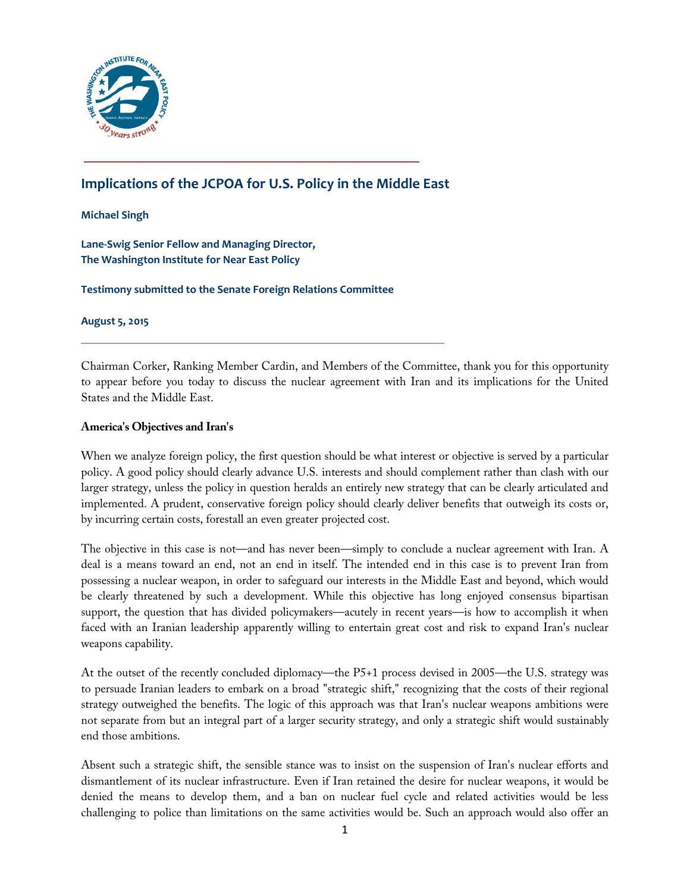

# **Implications of the JCPOA for U.S. Policy in the Middle East**

#### **Michael Singh**

**Lane-Swig Senior Fellow and Managing Director, The Washington Institute for Near East Policy**

**Testimony submitted to the Senate Foreign Relations Committee** 

**August 5, 2015**

Chairman Corker, Ranking Member Cardin, and Members of the Committee, thank you for this opportunity to appear before you today to discuss the nuclear agreement with Iran and its implications for the United States and the Middle East.

#### **America's Objectives and Iran's**

When we analyze foreign policy, the first question should be what interest or objective is served by a particular policy. A good policy should clearly advance U.S. interests and should complement rather than clash with our larger strategy, unless the policy in question heralds an entirely new strategy that can be clearly articulated and implemented. A prudent, conservative foreign policy should clearly deliver benefits that outweigh its costs or, by incurring certain costs, forestall an even greater projected cost.

The objective in this case is not—and has never been—simply to conclude a nuclear agreement with Iran. A deal is a means toward an end, not an end in itself. The intended end in this case is to prevent Iran from possessing a nuclear weapon, in order to safeguard our interests in the Middle East and beyond, which would be clearly threatened by such a development. While this objective has long enjoyed consensus bipartisan support, the question that has divided policymakers—acutely in recent years—is how to accomplish it when faced with an Iranian leadership apparently willing to entertain great cost and risk to expand Iran's nuclear weapons capability.

At the outset of the recently concluded diplomacy—the P5+1 process devised in 2005—the U.S. strategy was to persuade Iranian leaders to embark on a broad "strategic shift," recognizing that the costs of their regional strategy outweighed the benefits. The logic of this approach was that Iran's nuclear weapons ambitions were not separate from but an integral part of a larger security strategy, and only a strategic shift would sustainably end those ambitions.

Absent such a strategic shift, the sensible stance was to insist on the suspension of Iran's nuclear efforts and dismantlement of its nuclear infrastructure. Even if Iran retained the desire for nuclear weapons, it would be denied the means to develop them, and a ban on nuclear fuel cycle and related activities would be less challenging to police than limitations on the same activities would be. Such an approach would also offer an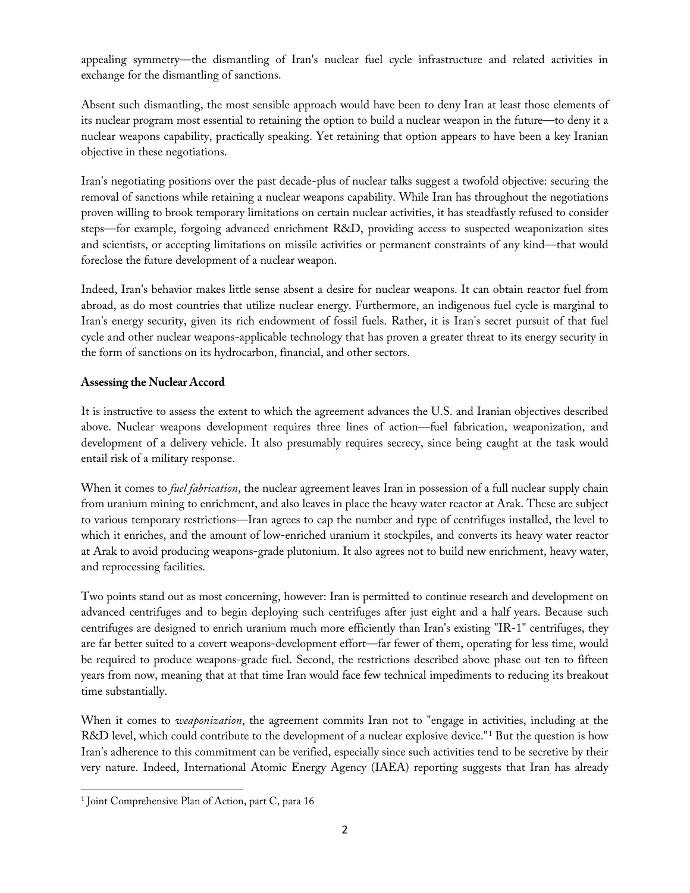appealing symmetry—the dismantling of Iran's nuclear fuel cycle infrastructure and related activities in exchange for the dismantling of sanctions.

Absent such dismantling, the most sensible approach would have been to deny Iran at least those elements of its nuclear program most essential to retaining the option to build a nuclear weapon in the future—to deny it a nuclear weapons capability, practically speaking. Yet retaining that option appears to have been a key Iranian objective in these negotiations.

Iran's negotiating positions over the past decade-plus of nuclear talks suggest a twofold objective: securing the removal of sanctions while retaining a nuclear weapons capability. While Iran has throughout the negotiations proven willing to brook temporary limitations on certain nuclear activities, it has steadfastly refused to consider steps—for example, forgoing advanced enrichment R&D, providing access to suspected weaponization sites and scientists, or accepting limitations on missile activities or permanent constraints of any kind—that would foreclose the future development of a nuclear weapon.

Indeed, Iran's behavior makes little sense absent a desire for nuclear weapons. It can obtain reactor fuel from abroad, as do most countries that utilize nuclear energy. Furthermore, an indigenous fuel cycle is marginal to Iran's energy security, given its rich endowment of fossil fuels. Rather, it is Iran's secret pursuit of that fuel cycle and other nuclear weapons-applicable technology that has proven a greater threat to its energy security in the form of sanctions on its hydrocarbon, financial, and other sectors.

## **Assessing the Nuclear Accord**

It is instructive to assess the extent to which the agreement advances the U.S. and Iranian objectives described above. Nuclear weapons development requires three lines of action—fuel fabrication, weaponization, and development of a delivery vehicle. It also presumably requires secrecy, since being caught at the task would entail risk of a military response.

When it comes to *fuel fabrication*, the nuclear agreement leaves Iran in possession of a full nuclear supply chain from uranium mining to enrichment, and also leaves in place the heavy water reactor at Arak. These are subject to various temporary restrictions—Iran agrees to cap the number and type of centrifuges installed, the level to which it enriches, and the amount of low-enriched uranium it stockpiles, and converts its heavy water reactor at Arak to avoid producing weapons-grade plutonium. It also agrees not to build new enrichment, heavy water, and reprocessing facilities.

Two points stand out as most concerning, however: Iran is permitted to continue research and development on advanced centrifuges and to begin deploying such centrifuges after just eight and a half years. Because such centrifuges are designed to enrich uranium much more efficiently than Iran's existing "IR-1" centrifuges, they are far better suited to a covert weapons-development effort—far fewer of them, operating for less time, would be required to produce weapons-grade fuel. Second, the restrictions described above phase out ten to fifteen years from now, meaning that at that time Iran would face few technical impediments to reducing its breakout time substantially.

When it comes to *weaponization*, the agreement commits Iran not to "engage in activities, including at the R&D level, which could contribute to the development of a nuclear explosive device."[1](#page-1-0) But the question is how Iran's adherence to this commitment can be verified, especially since such activities tend to be secretive by their very nature. Indeed, International Atomic Energy Agency (IAEA) reporting suggests that Iran has already

l

<span id="page-1-0"></span><sup>&</sup>lt;sup>1</sup> Joint Comprehensive Plan of Action, part C, para 16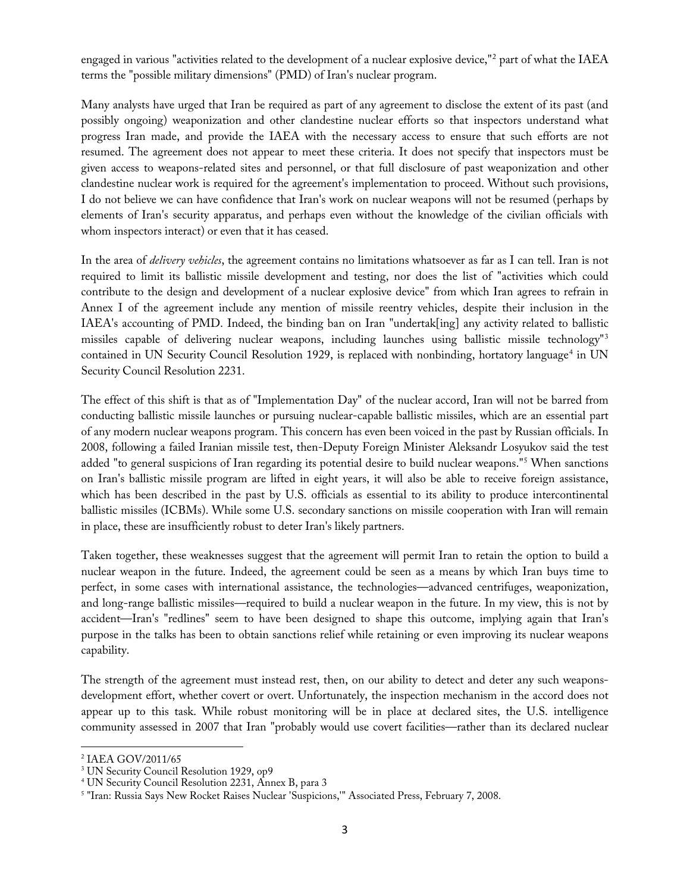engaged in various "activities related to the development of a nuclear explosive device,"<sup>[2](#page-2-0)</sup> part of what the IAEA terms the "possible military dimensions" (PMD) of Iran's nuclear program.

Many analysts have urged that Iran be required as part of any agreement to disclose the extent of its past (and possibly ongoing) weaponization and other clandestine nuclear efforts so that inspectors understand what progress Iran made, and provide the IAEA with the necessary access to ensure that such efforts are not resumed. The agreement does not appear to meet these criteria. It does not specify that inspectors must be given access to weapons-related sites and personnel, or that full disclosure of past weaponization and other clandestine nuclear work is required for the agreement's implementation to proceed. Without such provisions, I do not believe we can have confidence that Iran's work on nuclear weapons will not be resumed (perhaps by elements of Iran's security apparatus, and perhaps even without the knowledge of the civilian officials with whom inspectors interact) or even that it has ceased.

In the area of *delivery vehicles*, the agreement contains no limitations whatsoever as far as I can tell. Iran is not required to limit its ballistic missile development and testing, nor does the list of "activities which could contribute to the design and development of a nuclear explosive device" from which Iran agrees to refrain in Annex I of the agreement include any mention of missile reentry vehicles, despite their inclusion in the IAEA's accounting of PMD. Indeed, the binding ban on Iran "undertak[ing] any activity related to ballistic missiles capable of delivering nuclear weapons, including launches using ballistic missile technology"[3](#page-2-1) contained in UN Security Council Resolution 1929, is replaced with nonbinding, hortatory language<sup>[4](#page-2-2)</sup> in UN Security Council Resolution 2231.

The effect of this shift is that as of "Implementation Day" of the nuclear accord, Iran will not be barred from conducting ballistic missile launches or pursuing nuclear-capable ballistic missiles, which are an essential part of any modern nuclear weapons program. This concern has even been voiced in the past by Russian officials. In 2008, following a failed Iranian missile test, then-Deputy Foreign Minister Aleksandr Losyukov said the test added "to general suspicions of Iran regarding its potential desire to build nuclear weapons."[5](#page-2-3) When sanctions on Iran's ballistic missile program are lifted in eight years, it will also be able to receive foreign assistance, which has been described in the past by U.S. officials as essential to its ability to produce intercontinental ballistic missiles (ICBMs). While some U.S. secondary sanctions on missile cooperation with Iran will remain in place, these are insufficiently robust to deter Iran's likely partners.

Taken together, these weaknesses suggest that the agreement will permit Iran to retain the option to build a nuclear weapon in the future. Indeed, the agreement could be seen as a means by which Iran buys time to perfect, in some cases with international assistance, the technologies—advanced centrifuges, weaponization, and long-range ballistic missiles—required to build a nuclear weapon in the future. In my view, this is not by accident—Iran's "redlines" seem to have been designed to shape this outcome, implying again that Iran's purpose in the talks has been to obtain sanctions relief while retaining or even improving its nuclear weapons capability.

The strength of the agreement must instead rest, then, on our ability to detect and deter any such weaponsdevelopment effort, whether covert or overt. Unfortunately, the inspection mechanism in the accord does not appear up to this task. While robust monitoring will be in place at declared sites, the U.S. intelligence community assessed in 2007 that Iran "probably would use covert facilities—rather than its declared nuclear

l

<span id="page-2-1"></span><span id="page-2-0"></span><sup>&</sup>lt;sup>2</sup> IAEA GOV/2011/65<br><sup>3</sup> UN Security Council Resolution 1929, op9

<span id="page-2-2"></span><sup>&</sup>lt;sup>4</sup> UN Security Council Resolution 2231, Annex B, para 3

<span id="page-2-3"></span><sup>5</sup> "Iran: Russia Says New Rocket Raises Nuclear 'Suspicions,'" Associated Press, February 7, 2008.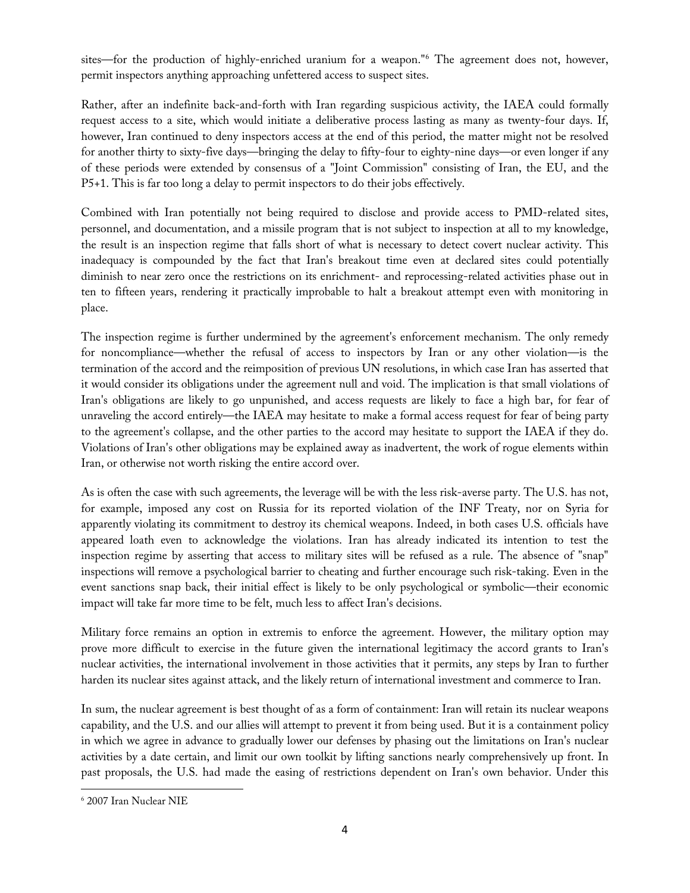sites—for the production of highly-enriched uranium for a weapon."[6](#page-3-0) The agreement does not, however, permit inspectors anything approaching unfettered access to suspect sites.

Rather, after an indefinite back-and-forth with Iran regarding suspicious activity, the IAEA could formally request access to a site, which would initiate a deliberative process lasting as many as twenty-four days. If, however, Iran continued to deny inspectors access at the end of this period, the matter might not be resolved for another thirty to sixty-five days—bringing the delay to fifty-four to eighty-nine days—or even longer if any of these periods were extended by consensus of a "Joint Commission" consisting of Iran, the EU, and the P5+1. This is far too long a delay to permit inspectors to do their jobs effectively.

Combined with Iran potentially not being required to disclose and provide access to PMD-related sites, personnel, and documentation, and a missile program that is not subject to inspection at all to my knowledge, the result is an inspection regime that falls short of what is necessary to detect covert nuclear activity. This inadequacy is compounded by the fact that Iran's breakout time even at declared sites could potentially diminish to near zero once the restrictions on its enrichment- and reprocessing-related activities phase out in ten to fifteen years, rendering it practically improbable to halt a breakout attempt even with monitoring in place.

The inspection regime is further undermined by the agreement's enforcement mechanism. The only remedy for noncompliance—whether the refusal of access to inspectors by Iran or any other violation—is the termination of the accord and the reimposition of previous UN resolutions, in which case Iran has asserted that it would consider its obligations under the agreement null and void. The implication is that small violations of Iran's obligations are likely to go unpunished, and access requests are likely to face a high bar, for fear of unraveling the accord entirely—the IAEA may hesitate to make a formal access request for fear of being party to the agreement's collapse, and the other parties to the accord may hesitate to support the IAEA if they do. Violations of Iran's other obligations may be explained away as inadvertent, the work of rogue elements within Iran, or otherwise not worth risking the entire accord over.

As is often the case with such agreements, the leverage will be with the less risk-averse party. The U.S. has not, for example, imposed any cost on Russia for its reported violation of the INF Treaty, nor on Syria for apparently violating its commitment to destroy its chemical weapons. Indeed, in both cases U.S. officials have appeared loath even to acknowledge the violations. Iran has already indicated its intention to test the inspection regime by asserting that access to military sites will be refused as a rule. The absence of "snap" inspections will remove a psychological barrier to cheating and further encourage such risk-taking. Even in the event sanctions snap back, their initial effect is likely to be only psychological or symbolic—their economic impact will take far more time to be felt, much less to affect Iran's decisions.

Military force remains an option in extremis to enforce the agreement. However, the military option may prove more difficult to exercise in the future given the international legitimacy the accord grants to Iran's nuclear activities, the international involvement in those activities that it permits, any steps by Iran to further harden its nuclear sites against attack, and the likely return of international investment and commerce to Iran.

In sum, the nuclear agreement is best thought of as a form of containment: Iran will retain its nuclear weapons capability, and the U.S. and our allies will attempt to prevent it from being used. But it is a containment policy in which we agree in advance to gradually lower our defenses by phasing out the limitations on Iran's nuclear activities by a date certain, and limit our own toolkit by lifting sanctions nearly comprehensively up front. In past proposals, the U.S. had made the easing of restrictions dependent on Iran's own behavior. Under this

l

<span id="page-3-0"></span><sup>6</sup> 2007 Iran Nuclear NIE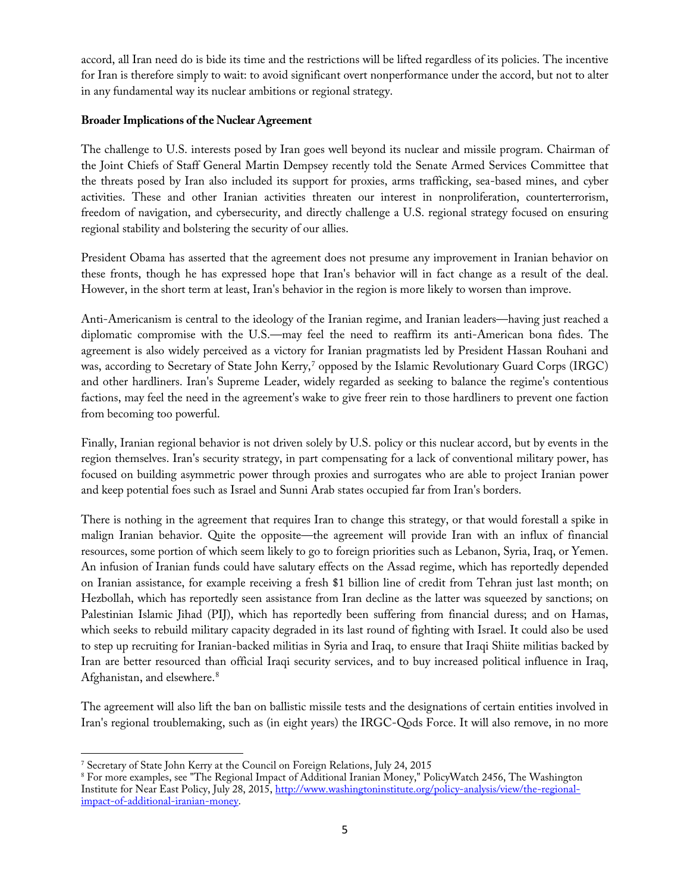accord, all Iran need do is bide its time and the restrictions will be lifted regardless of its policies. The incentive for Iran is therefore simply to wait: to avoid significant overt nonperformance under the accord, but not to alter in any fundamental way its nuclear ambitions or regional strategy.

### **Broader Implications of the Nuclear Agreement**

The challenge to U.S. interests posed by Iran goes well beyond its nuclear and missile program. Chairman of the Joint Chiefs of Staff General Martin Dempsey recently told the Senate Armed Services Committee that the threats posed by Iran also included its support for proxies, arms trafficking, sea-based mines, and cyber activities. These and other Iranian activities threaten our interest in nonproliferation, counterterrorism, freedom of navigation, and cybersecurity, and directly challenge a U.S. regional strategy focused on ensuring regional stability and bolstering the security of our allies.

President Obama has asserted that the agreement does not presume any improvement in Iranian behavior on these fronts, though he has expressed hope that Iran's behavior will in fact change as a result of the deal. However, in the short term at least, Iran's behavior in the region is more likely to worsen than improve.

Anti-Americanism is central to the ideology of the Iranian regime, and Iranian leaders—having just reached a diplomatic compromise with the U.S.—may feel the need to reaffirm its anti-American bona fides. The agreement is also widely perceived as a victory for Iranian pragmatists led by President Hassan Rouhani and was, according to Secretary of State John Kerry,<sup>[7](#page-4-0)</sup> opposed by the Islamic Revolutionary Guard Corps (IRGC) and other hardliners. Iran's Supreme Leader, widely regarded as seeking to balance the regime's contentious factions, may feel the need in the agreement's wake to give freer rein to those hardliners to prevent one faction from becoming too powerful.

Finally, Iranian regional behavior is not driven solely by U.S. policy or this nuclear accord, but by events in the region themselves. Iran's security strategy, in part compensating for a lack of conventional military power, has focused on building asymmetric power through proxies and surrogates who are able to project Iranian power and keep potential foes such as Israel and Sunni Arab states occupied far from Iran's borders.

There is nothing in the agreement that requires Iran to change this strategy, or that would forestall a spike in malign Iranian behavior. Quite the opposite—the agreement will provide Iran with an influx of financial resources, some portion of which seem likely to go to foreign priorities such as Lebanon, Syria, Iraq, or Yemen. An infusion of Iranian funds could have salutary effects on the Assad regime, which has reportedly depended on Iranian assistance, for example receiving a fresh \$1 billion line of credit from Tehran just last month; on Hezbollah, which has reportedly seen assistance from Iran decline as the latter was squeezed by sanctions; on Palestinian Islamic Jihad (PIJ), which has reportedly been suffering from financial duress; and on Hamas, which seeks to rebuild military capacity degraded in its last round of fighting with Israel. It could also be used to step up recruiting for Iranian-backed militias in Syria and Iraq, to ensure that Iraqi Shiite militias backed by Iran are better resourced than official Iraqi security services, and to buy increased political influence in Iraq, Afghanistan, and elsewhere.[8](#page-4-1)

The agreement will also lift the ban on ballistic missile tests and the designations of certain entities involved in Iran's regional troublemaking, such as (in eight years) the IRGC-Qods Force. It will also remove, in no more

<span id="page-4-0"></span>l <sup>7</sup> Secretary of State John Kerry at the Council on Foreign Relations, July 24, 2015

<span id="page-4-1"></span><sup>8</sup> For more examples, see "The Regional Impact of Additional Iranian Money," PolicyWatch 2456, The Washington Institute for Near East Policy, July 28, 2015, [http://www.washingtoninstitute.org/policy-analysis/view/the-regional](http://www.washingtoninstitute.org/policy-analysis/view/the-regional-impact-of-additional-iranian-money)[impact-of-additional-iranian-money.](http://www.washingtoninstitute.org/policy-analysis/view/the-regional-impact-of-additional-iranian-money)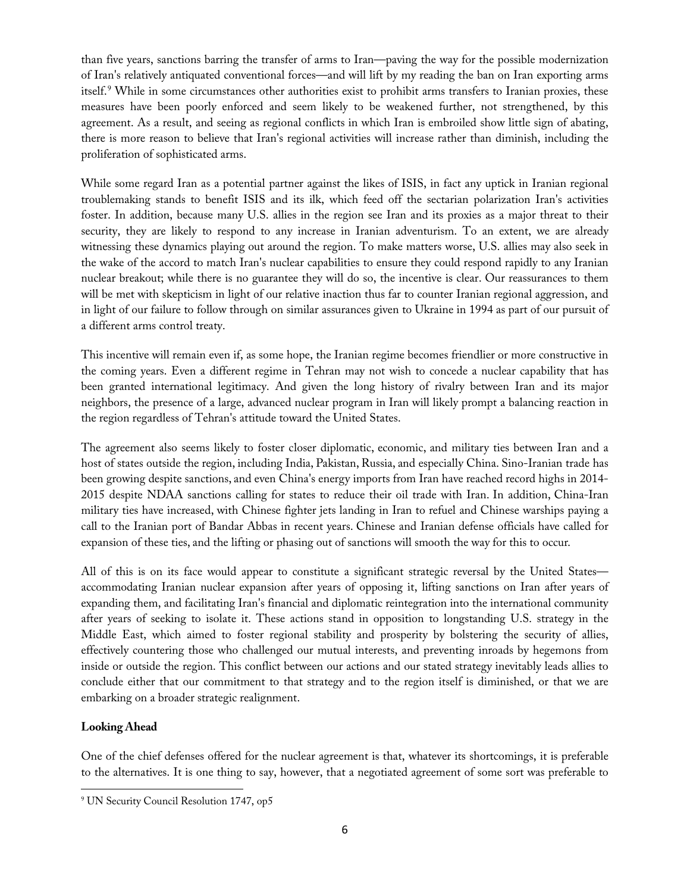than five years, sanctions barring the transfer of arms to Iran—paving the way for the possible modernization of Iran's relatively antiquated conventional forces—and will lift by my reading the ban on Iran exporting arms itself.<sup>[9](#page-5-0)</sup> While in some circumstances other authorities exist to prohibit arms transfers to Iranian proxies, these measures have been poorly enforced and seem likely to be weakened further, not strengthened, by this agreement. As a result, and seeing as regional conflicts in which Iran is embroiled show little sign of abating, there is more reason to believe that Iran's regional activities will increase rather than diminish, including the proliferation of sophisticated arms.

While some regard Iran as a potential partner against the likes of ISIS, in fact any uptick in Iranian regional troublemaking stands to benefit ISIS and its ilk, which feed off the sectarian polarization Iran's activities foster. In addition, because many U.S. allies in the region see Iran and its proxies as a major threat to their security, they are likely to respond to any increase in Iranian adventurism. To an extent, we are already witnessing these dynamics playing out around the region. To make matters worse, U.S. allies may also seek in the wake of the accord to match Iran's nuclear capabilities to ensure they could respond rapidly to any Iranian nuclear breakout; while there is no guarantee they will do so, the incentive is clear. Our reassurances to them will be met with skepticism in light of our relative inaction thus far to counter Iranian regional aggression, and in light of our failure to follow through on similar assurances given to Ukraine in 1994 as part of our pursuit of a different arms control treaty.

This incentive will remain even if, as some hope, the Iranian regime becomes friendlier or more constructive in the coming years. Even a different regime in Tehran may not wish to concede a nuclear capability that has been granted international legitimacy. And given the long history of rivalry between Iran and its major neighbors, the presence of a large, advanced nuclear program in Iran will likely prompt a balancing reaction in the region regardless of Tehran's attitude toward the United States.

The agreement also seems likely to foster closer diplomatic, economic, and military ties between Iran and a host of states outside the region, including India, Pakistan, Russia, and especially China. Sino-Iranian trade has been growing despite sanctions, and even China's energy imports from Iran have reached record highs in 2014- 2015 despite NDAA sanctions calling for states to reduce their oil trade with Iran. In addition, China-Iran military ties have increased, with Chinese fighter jets landing in Iran to refuel and Chinese warships paying a call to the Iranian port of Bandar Abbas in recent years. Chinese and Iranian defense officials have called for expansion of these ties, and the lifting or phasing out of sanctions will smooth the way for this to occur.

All of this is on its face would appear to constitute a significant strategic reversal by the United States accommodating Iranian nuclear expansion after years of opposing it, lifting sanctions on Iran after years of expanding them, and facilitating Iran's financial and diplomatic reintegration into the international community after years of seeking to isolate it. These actions stand in opposition to longstanding U.S. strategy in the Middle East, which aimed to foster regional stability and prosperity by bolstering the security of allies, effectively countering those who challenged our mutual interests, and preventing inroads by hegemons from inside or outside the region. This conflict between our actions and our stated strategy inevitably leads allies to conclude either that our commitment to that strategy and to the region itself is diminished, or that we are embarking on a broader strategic realignment.

## **Looking Ahead**

l

One of the chief defenses offered for the nuclear agreement is that, whatever its shortcomings, it is preferable to the alternatives. It is one thing to say, however, that a negotiated agreement of some sort was preferable to

<span id="page-5-0"></span><sup>&</sup>lt;sup>9</sup> UN Security Council Resolution 1747, op5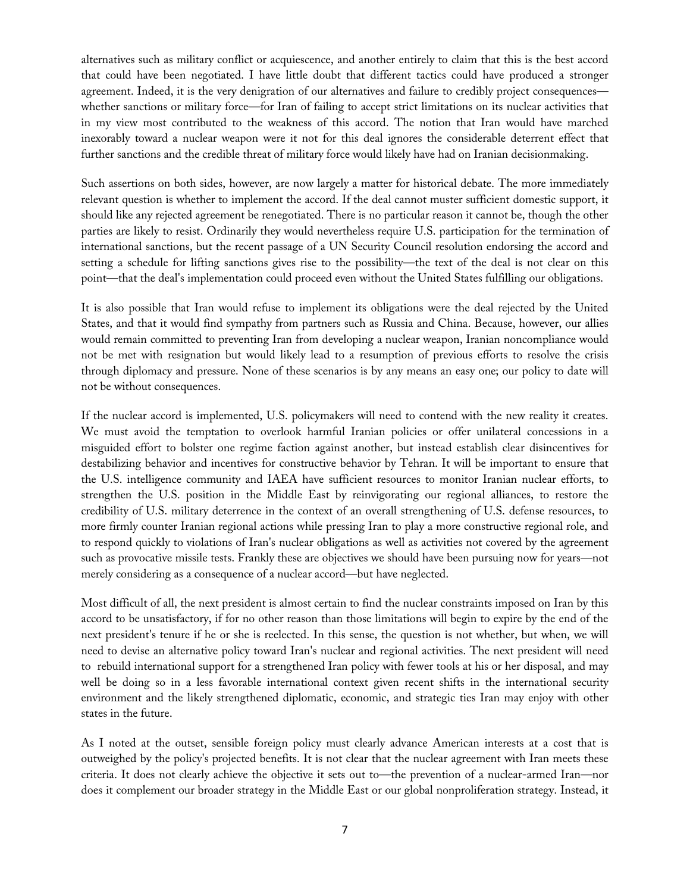alternatives such as military conflict or acquiescence, and another entirely to claim that this is the best accord that could have been negotiated. I have little doubt that different tactics could have produced a stronger agreement. Indeed, it is the very denigration of our alternatives and failure to credibly project consequences whether sanctions or military force—for Iran of failing to accept strict limitations on its nuclear activities that in my view most contributed to the weakness of this accord. The notion that Iran would have marched inexorably toward a nuclear weapon were it not for this deal ignores the considerable deterrent effect that further sanctions and the credible threat of military force would likely have had on Iranian decisionmaking.

Such assertions on both sides, however, are now largely a matter for historical debate. The more immediately relevant question is whether to implement the accord. If the deal cannot muster sufficient domestic support, it should like any rejected agreement be renegotiated. There is no particular reason it cannot be, though the other parties are likely to resist. Ordinarily they would nevertheless require U.S. participation for the termination of international sanctions, but the recent passage of a UN Security Council resolution endorsing the accord and setting a schedule for lifting sanctions gives rise to the possibility—the text of the deal is not clear on this point—that the deal's implementation could proceed even without the United States fulfilling our obligations.

It is also possible that Iran would refuse to implement its obligations were the deal rejected by the United States, and that it would find sympathy from partners such as Russia and China. Because, however, our allies would remain committed to preventing Iran from developing a nuclear weapon, Iranian noncompliance would not be met with resignation but would likely lead to a resumption of previous efforts to resolve the crisis through diplomacy and pressure. None of these scenarios is by any means an easy one; our policy to date will not be without consequences.

If the nuclear accord is implemented, U.S. policymakers will need to contend with the new reality it creates. We must avoid the temptation to overlook harmful Iranian policies or offer unilateral concessions in a misguided effort to bolster one regime faction against another, but instead establish clear disincentives for destabilizing behavior and incentives for constructive behavior by Tehran. It will be important to ensure that the U.S. intelligence community and IAEA have sufficient resources to monitor Iranian nuclear efforts, to strengthen the U.S. position in the Middle East by reinvigorating our regional alliances, to restore the credibility of U.S. military deterrence in the context of an overall strengthening of U.S. defense resources, to more firmly counter Iranian regional actions while pressing Iran to play a more constructive regional role, and to respond quickly to violations of Iran's nuclear obligations as well as activities not covered by the agreement such as provocative missile tests. Frankly these are objectives we should have been pursuing now for years—not merely considering as a consequence of a nuclear accord—but have neglected.

Most difficult of all, the next president is almost certain to find the nuclear constraints imposed on Iran by this accord to be unsatisfactory, if for no other reason than those limitations will begin to expire by the end of the next president's tenure if he or she is reelected. In this sense, the question is not whether, but when, we will need to devise an alternative policy toward Iran's nuclear and regional activities. The next president will need to rebuild international support for a strengthened Iran policy with fewer tools at his or her disposal, and may well be doing so in a less favorable international context given recent shifts in the international security environment and the likely strengthened diplomatic, economic, and strategic ties Iran may enjoy with other states in the future.

As I noted at the outset, sensible foreign policy must clearly advance American interests at a cost that is outweighed by the policy's projected benefits. It is not clear that the nuclear agreement with Iran meets these criteria. It does not clearly achieve the objective it sets out to—the prevention of a nuclear-armed Iran—nor does it complement our broader strategy in the Middle East or our global nonproliferation strategy. Instead, it